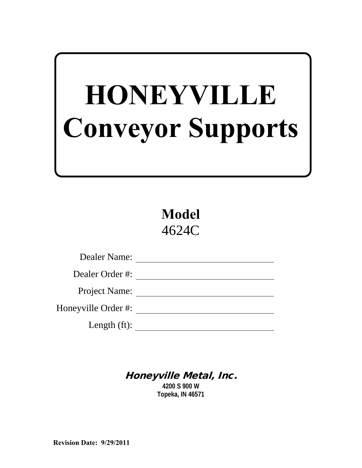# **HONEYVILLE Conveyor Supports**

**Model** 4624C

| Dealer Name:         |
|----------------------|
| Dealer Order #:      |
| <b>Project Name:</b> |
| Honeyville Order #:  |
| Length $(ft)$ :      |

# Honeyville Metal, Inc.

**4200 S 900 W Topeka, IN 46571**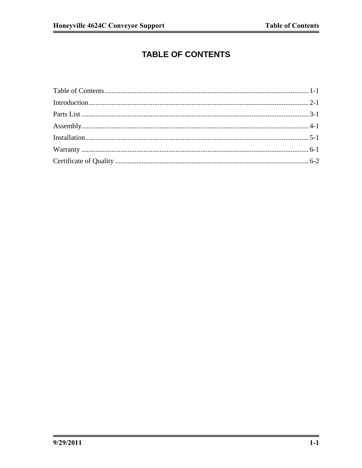# **TABLE OF CONTENTS**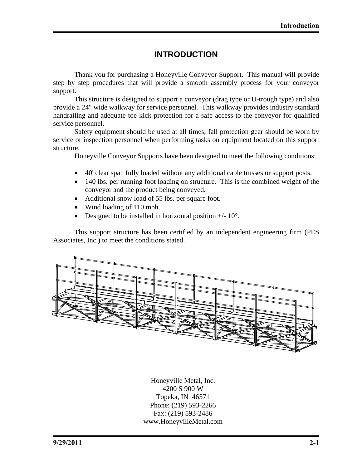## **INTRODUCTION**

Thank you for purchasing a Honeyville Conveyor Support. This manual will provide step by step procedures that will provide a smooth assembly process for your conveyor support.

This structure is designed to support a conveyor (drag type or U-trough type) and also provide a 24" wide walkway for service personnel. This walkway provides industry standard handrailing and adequate toe kick protection for a safe access to the conveyor for qualified service personnel.

Safety equipment should be used at all times; fall protection gear should be worn by service or inspection personnel when performing tasks on equipment located on this support structure.

Honeyville Conveyor Supports have been designed to meet the following conditions:

- 40' clear span fully loaded without any additional cable trusses or support posts.
- 140 lbs. per running foot loading on structure. This is the combined weight of the conveyor and the product being conveyed.
- Additional snow load of 55 lbs. per square foot.
- Wind loading of 110 mph.
- Designed to be installed in horizontal position  $+/$  10 $^{\circ}$ .

This support structure has been certified by an independent engineering firm (PES Associates, Inc.) to meet the conditions stated.



Honeyville Metal, Inc. 4200 S 900 W Topeka, IN 46571 Phone: (219) 593-2266 Fax: (219) 593-2486 www.HoneyvilleMetal.com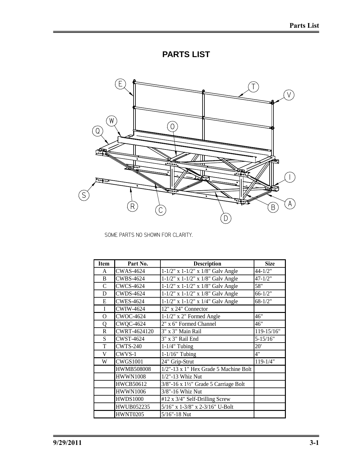# **PARTS LIST**



SOME PARTS NO SHOWN FOR CLARITY.

| <b>Item</b>    | Part No.          | <b>Description</b>                                  | <b>Size</b>  |
|----------------|-------------------|-----------------------------------------------------|--------------|
| A              | <b>CWAS-4624</b>  | $1-1/2$ " x $1-1/2$ " x $1/8$ " Galv Angle          | $44 - 1/2"$  |
| B              | <b>CWBS-4624</b>  | 1-1/2" x 1-1/2" x 1/8" Galv Angle                   | $47 - 1/2"$  |
| $\mathcal{C}$  | <b>CWCS-4624</b>  | $1-1/2$ " x $1-1/2$ " x $1/8$ " Galv Angle          | 58"          |
| D              | <b>CWDS-4624</b>  | 1-1/2" x 1-1/2" x 1/8" Galv Angle                   | $66 - 1/2"$  |
| E              | <b>CWES-4624</b>  | $1-1/2$ " x $1-1/2$ " x $1/4$ " Galv Angle          | $68 - 1/2"$  |
| I              | <b>CWIW-4624</b>  | 12" x 24" Connector                                 |              |
| $\overline{O}$ | <b>CWOC-4624</b>  | $1-1/2$ " x 2" Formed Angle                         | 46"          |
| Q              | <b>CWQC-4624</b>  | 2" x 6" Formed Channel                              | 46"          |
| $\mathbb R$    | CWRT-4624120      | 3" x 3" Main Rail                                   | 119-15/16"   |
| S              | <b>CWST-4624</b>  | 3" x 3" Rail End                                    | $5 - 15/16"$ |
| T              | <b>CWTS-240</b>   | $1-1/4$ " Tubing                                    | 20'          |
| V              | CWVS-1            | $1-1/16"$ Tubing                                    | 4"           |
| W              | <b>CWGS1001</b>   | 24" Grip-Strut                                      | $119 - 1/4"$ |
|                | <b>HWMB508008</b> | 1/2"-13 x 1" Hex Grade 5 Machine Bolt               |              |
|                | <b>HWWN1008</b>   | 1/2"-13 Whiz Nut                                    |              |
|                | <b>HWCB50612</b>  | $3/8$ "-16 x $1\frac{1}{2}$ " Grade 5 Carriage Bolt |              |
|                | <b>HWWN1006</b>   | 3/8"-16 Whiz Nut                                    |              |
|                | <b>HWDS1000</b>   | #12 x 3/4" Self-Drilling Screw                      |              |
|                | HWUB052235        | 5/16" x 1-3/8" x 2-3/16" U-Bolt                     |              |
|                | <b>HWNT0205</b>   | $5/16" - 18$ Nut                                    |              |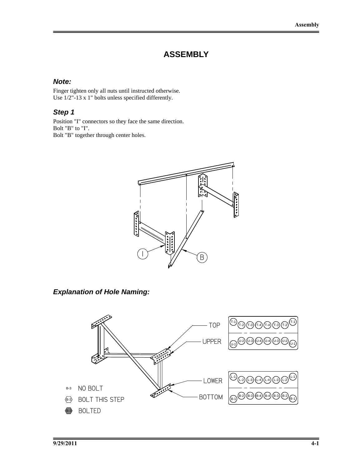# **ASSEMBLY**

#### *Note:*

Finger tighten only all nuts until instructed otherwise. Use 1/2"-13 x 1" bolts unless specified differently.

#### *Step 1*

Position "I" connectors so they face the same direction. Bolt "B" to "I". Bolt "B" together through center holes.



*Explanation of Hole Naming:* 

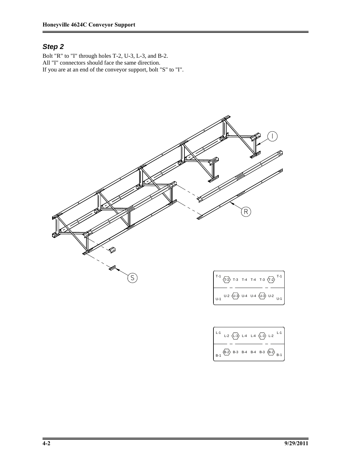Bolt "R" to "I" through holes T-2, U-3, L-3, and B-2. All "I" connectors should face the same direction. If you are at an end of the conveyor support, bolt "S" to "I".



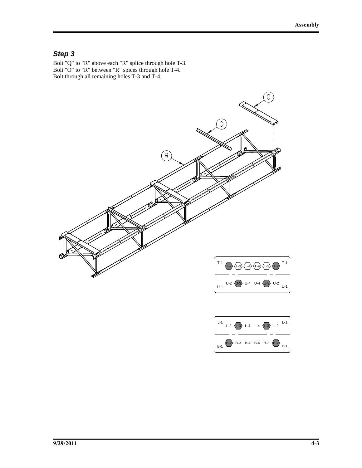Bolt "Q" to "R" above each "R" splice through hole T-3. Bolt "O" to "R" between "R" spices through hole T-4. Bolt through all remaining holes T-3 and T-4.



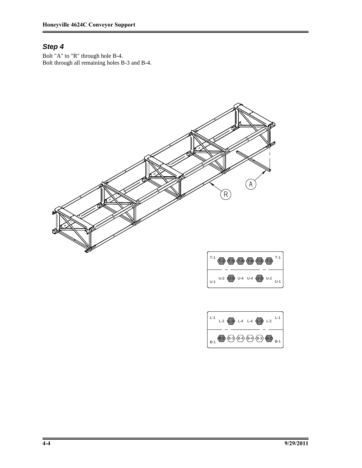Bolt "A" to "R" through hole B-4. Bolt through all remaining holes B-3 and B-4.



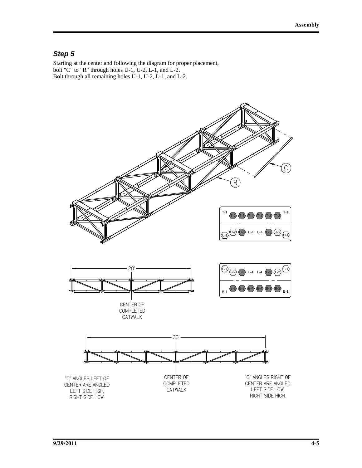Starting at the center and following the diagram for proper placement, bolt "C" to "R" through holes U-1, U-2, L-1, and L-2. Bolt through all remaining holes U-1, U-2, L-1, and L-2.

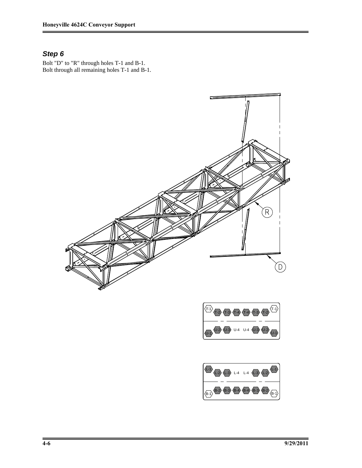Bolt "D" to "R" through holes T-1 and B-1. Bolt through all remaining holes T-1 and B-1.



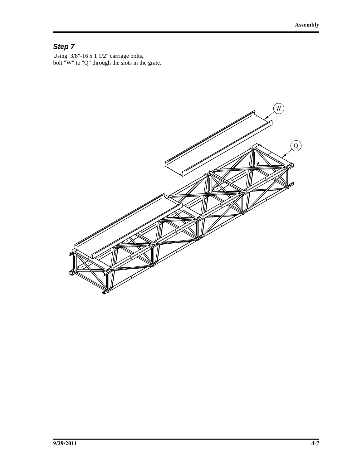Using  $3/8$ "-16 x 1  $1/2$ " carriage bolts, bolt "W" to "Q" through the slots in the grate.

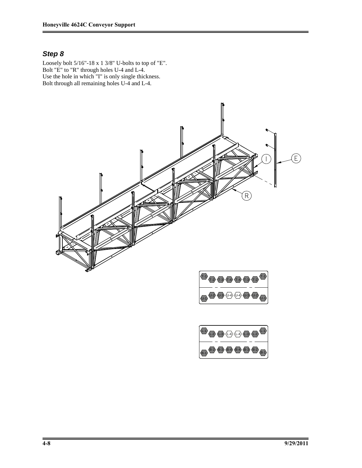Loosely bolt 5/16"-18 x 1 3/8" U-bolts to top of "E". Bolt "E" to "R" through holes U-4 and L-4. Use the hole in which "I" is only single thickness. Bolt through all remaining holes U-4 and L-4.



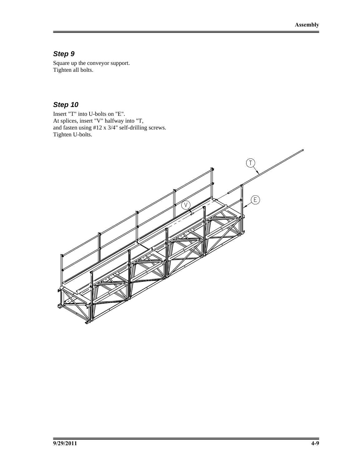Square up the conveyor support. Tighten all bolts.

### *Step 10*

Insert "T" into U-bolts on "E". At splices, insert "V" halfway into "T, and fasten using #12 x 3/4" self-drilling screws. Tighten U-bolts.

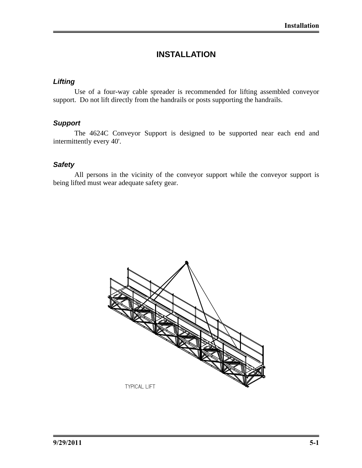# **INSTALLATION**

#### *Lifting*

Use of a four-way cable spreader is recommended for lifting assembled conveyor support. Do not lift directly from the handrails or posts supporting the handrails.

# *Support*

The 4624C Conveyor Support is designed to be supported near each end and intermittently every 40'.

#### *Safety*

All persons in the vicinity of the conveyor support while the conveyor support is being lifted must wear adequate safety gear.

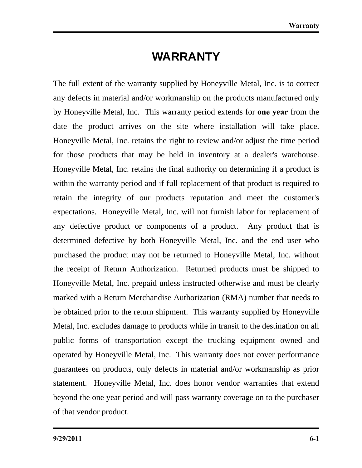# **WARRANTY**

The full extent of the warranty supplied by Honeyville Metal, Inc. is to correct any defects in material and/or workmanship on the products manufactured only by Honeyville Metal, Inc. This warranty period extends for **one year** from the date the product arrives on the site where installation will take place. Honeyville Metal, Inc. retains the right to review and/or adjust the time period for those products that may be held in inventory at a dealer's warehouse. Honeyville Metal, Inc. retains the final authority on determining if a product is within the warranty period and if full replacement of that product is required to retain the integrity of our products reputation and meet the customer's expectations. Honeyville Metal, Inc. will not furnish labor for replacement of any defective product or components of a product. Any product that is determined defective by both Honeyville Metal, Inc. and the end user who purchased the product may not be returned to Honeyville Metal, Inc. without the receipt of Return Authorization. Returned products must be shipped to Honeyville Metal, Inc. prepaid unless instructed otherwise and must be clearly marked with a Return Merchandise Authorization (RMA) number that needs to be obtained prior to the return shipment. This warranty supplied by Honeyville Metal, Inc. excludes damage to products while in transit to the destination on all public forms of transportation except the trucking equipment owned and operated by Honeyville Metal, Inc. This warranty does not cover performance guarantees on products, only defects in material and/or workmanship as prior statement. Honeyville Metal, Inc. does honor vendor warranties that extend beyond the one year period and will pass warranty coverage on to the purchaser of that vendor product.